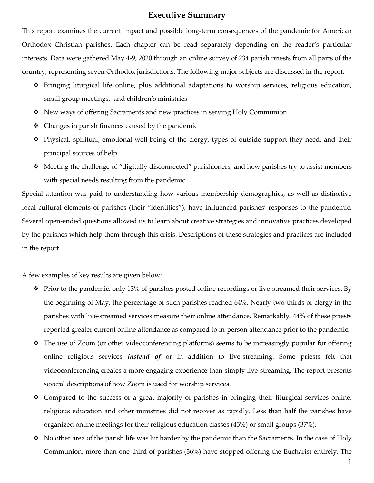## **Executive Summary**

This report examines the current impact and possible long-term consequences of the pandemic for American Orthodox Christian parishes. Each chapter can be read separately depending on the reader's particular interests. Data were gathered May 4-9, 2020 through an online survey of 234 parish priests from all parts of the country, representing seven Orthodox jurisdictions. The following major subjects are discussed in the report:

- $\hat{\mathbf{v}}$  Bringing liturgical life online, plus additional adaptations to worship services, religious education, small group meetings, and children's ministries
- New ways of offering Sacraments and new practices in serving Holy Communion
- $\triangleleft$  Changes in parish finances caused by the pandemic
- $\hat{\mathbf{v}}$  Physical, spiritual, emotional well-being of the clergy, types of outside support they need, and their principal sources of help
- $\triangle$  Meeting the challenge of "digitally disconnected" parishioners, and how parishes try to assist members with special needs resulting from the pandemic

Special attention was paid to understanding how various membership demographics, as well as distinctive local cultural elements of parishes (their "identities"), have influenced parishes' responses to the pandemic. Several open-ended questions allowed us to learn about creative strategies and innovative practices developed by the parishes which help them through this crisis. Descriptions of these strategies and practices are included in the report.

A few examples of key results are given below:

- $\hat{\cdot}$  Prior to the pandemic, only 13% of parishes posted online recordings or live-streamed their services. By the beginning of May, the percentage of such parishes reached 64%. Nearly two-thirds of clergy in the parishes with live-streamed services measure their online attendance. Remarkably, 44% of these priests reported greater current online attendance as compared to in-person attendance prior to the pandemic.
- $\hat{\cdot}$  The use of Zoom (or other videoconferencing platforms) seems to be increasingly popular for offering online religious services *instead of* or in addition to live-streaming. Some priests felt that videoconferencing creates a more engaging experience than simply live-streaming. The report presents several descriptions of how Zoom is used for worship services.
- $\div$  Compared to the success of a great majority of parishes in bringing their liturgical services online, religious education and other ministries did not recover as rapidly. Less than half the parishes have organized online meetings for their religious education classes (45%) or small groups (37%).
- $\bullet$  No other area of the parish life was hit harder by the pandemic than the Sacraments. In the case of Holy Communion, more than one-third of parishes (36%) have stopped offering the Eucharist entirely. The